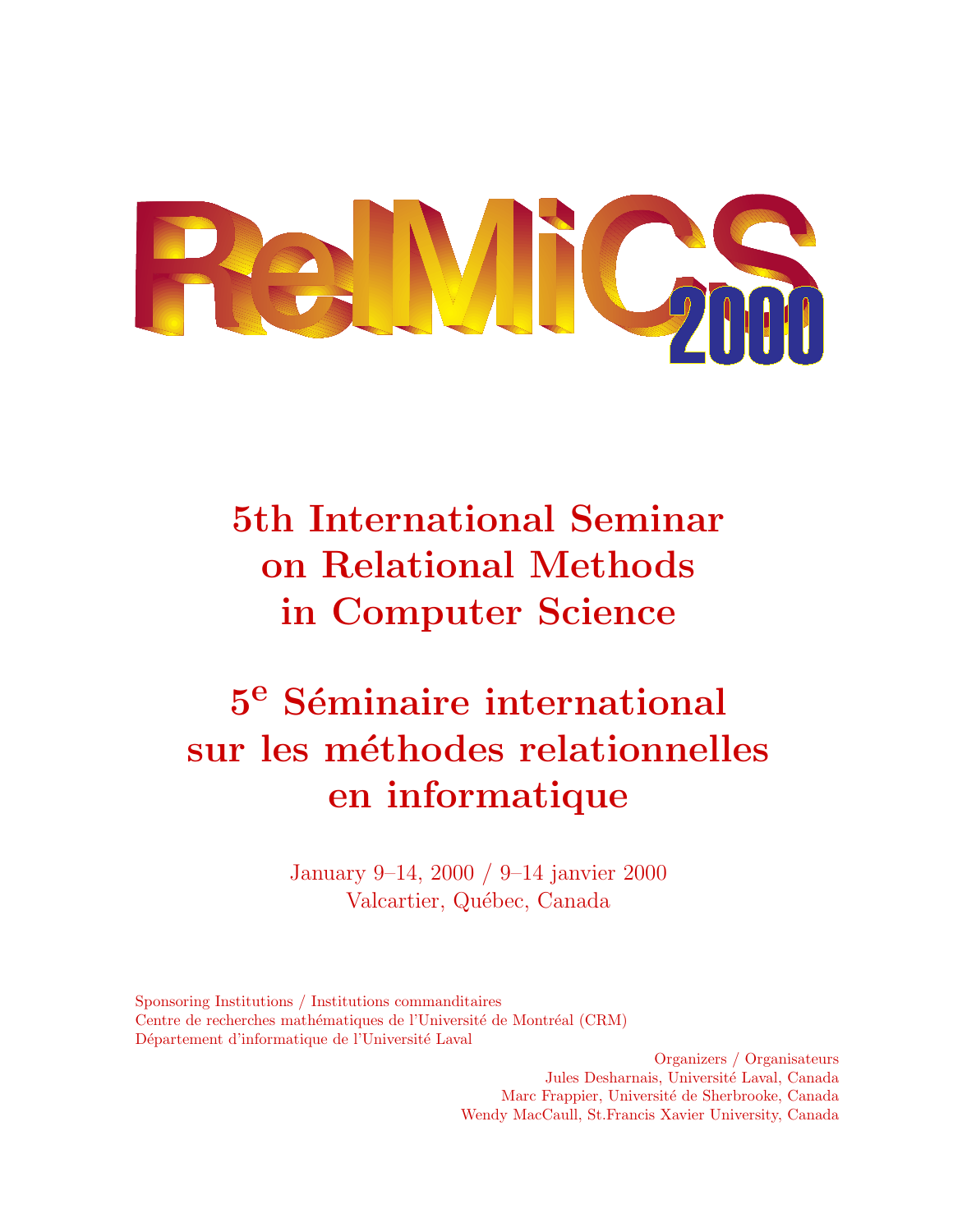

**5th International Seminar on Relational Methods in Computer Science**

# $5^e$  Séminaire international **sur les m´ethodes relationnelles en informatique**

January 9–14, 2000 / 9–14 janvier 2000 Valcartier, Québec, Canada

Sponsoring Institutions / Institutions commanditaires Centre de recherches mathématiques de l'Université de Montréal (CRM) Département d'informatique de l'Université Laval

> Organizers / Organisateurs Jules Desharnais, Université Laval, Canada Marc Frappier, Université de Sherbrooke, Canada Wendy MacCaull, St.Francis Xavier University, Canada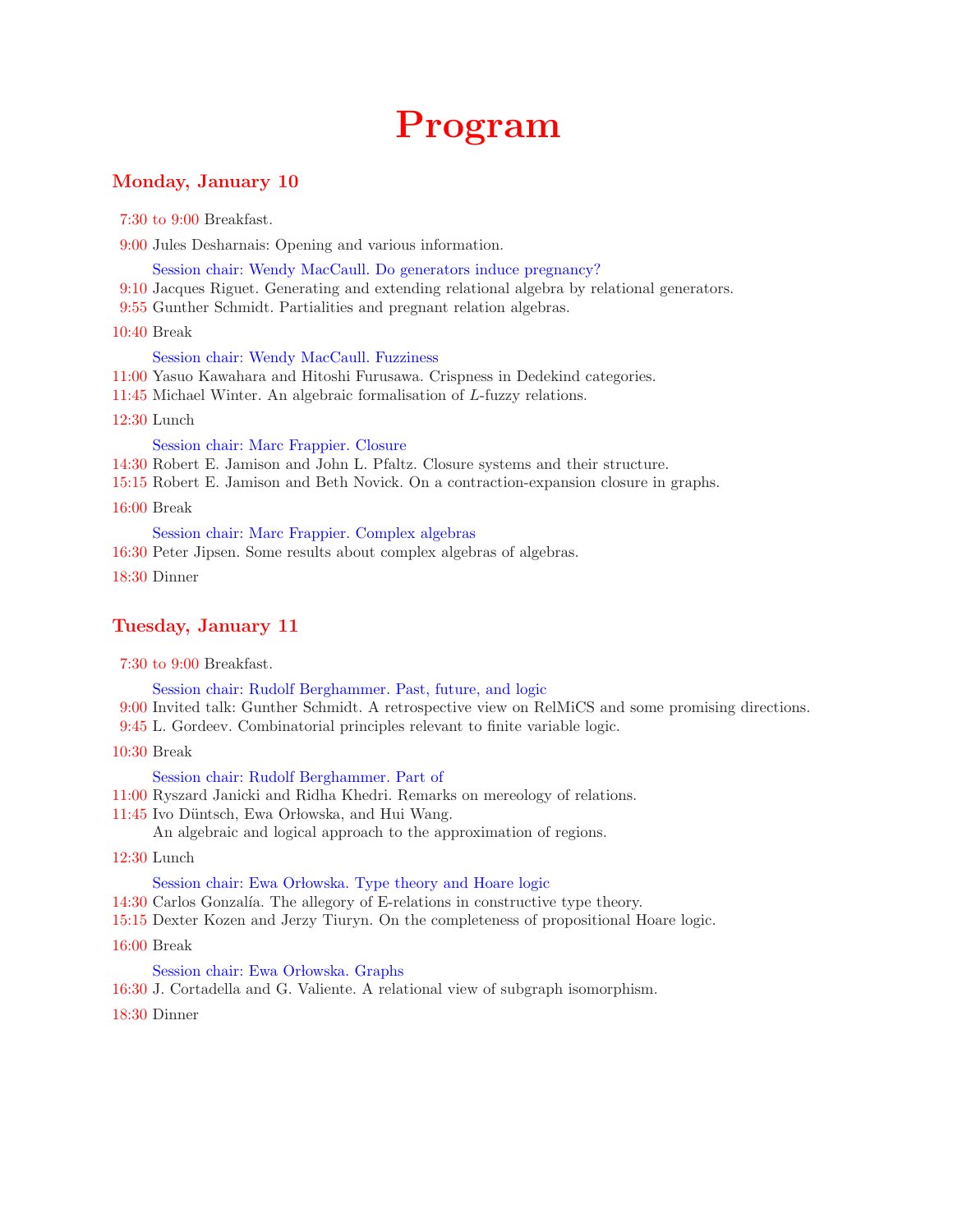# **Program**

## **Monday, January 10**

7:30 to 9:00 Breakfast.

9:00 Jules Desharnais: Opening and various information.

Session chair: Wendy MacCaull. Do generators induce pregnancy?

- 9:10 Jacques Riguet. Generating and extending relational algebra by relational generators.
- 9:55 Gunther Schmidt. Partialities and pregnant relation algebras.

#### 10:40 Break

#### Session chair: Wendy MacCaull. Fuzziness

- 11:00 Yasuo Kawahara and Hitoshi Furusawa. Crispness in Dedekind categories.
- 11:45 Michael Winter. An algebraic formalisation of *L*-fuzzy relations.

12:30 Lunch

Session chair: Marc Frappier. Closure

- 14:30 Robert E. Jamison and John L. Pfaltz. Closure systems and their structure.
- 15:15 Robert E. Jamison and Beth Novick. On a contraction-expansion closure in graphs.

16:00 Break

Session chair: Marc Frappier. Complex algebras

16:30 Peter Jipsen. Some results about complex algebras of algebras.

18:30 Dinner

# **Tuesday, January 11**

7:30 to 9:00 Breakfast.

Session chair: Rudolf Berghammer. Past, future, and logic

- 9:00 Invited talk: Gunther Schmidt. A retrospective view on RelMiCS and some promising directions.
- 9:45 L. Gordeev. Combinatorial principles relevant to finite variable logic.
- 10:30 Break

#### Session chair: Rudolf Berghammer. Part of

- 11:00 Ryszard Janicki and Ridha Khedri. Remarks on mereology of relations.
- 11:45 Ivo Düntsch, Ewa Orłowska, and Hui Wang.

An algebraic and logical approach to the approximation of regions.

12:30 Lunch

#### Session chair: Ewa Orłowska. Type theory and Hoare logic

- 14:30 Carlos Gonzalía. The allegory of E-relations in constructive type theory.
- 15:15 Dexter Kozen and Jerzy Tiuryn. On the completeness of propositional Hoare logic.
- 16:00 Break

#### Session chair: Ewa Orłowska. Graphs

16:30 J. Cortadella and G. Valiente. A relational view of subgraph isomorphism.

18:30 Dinner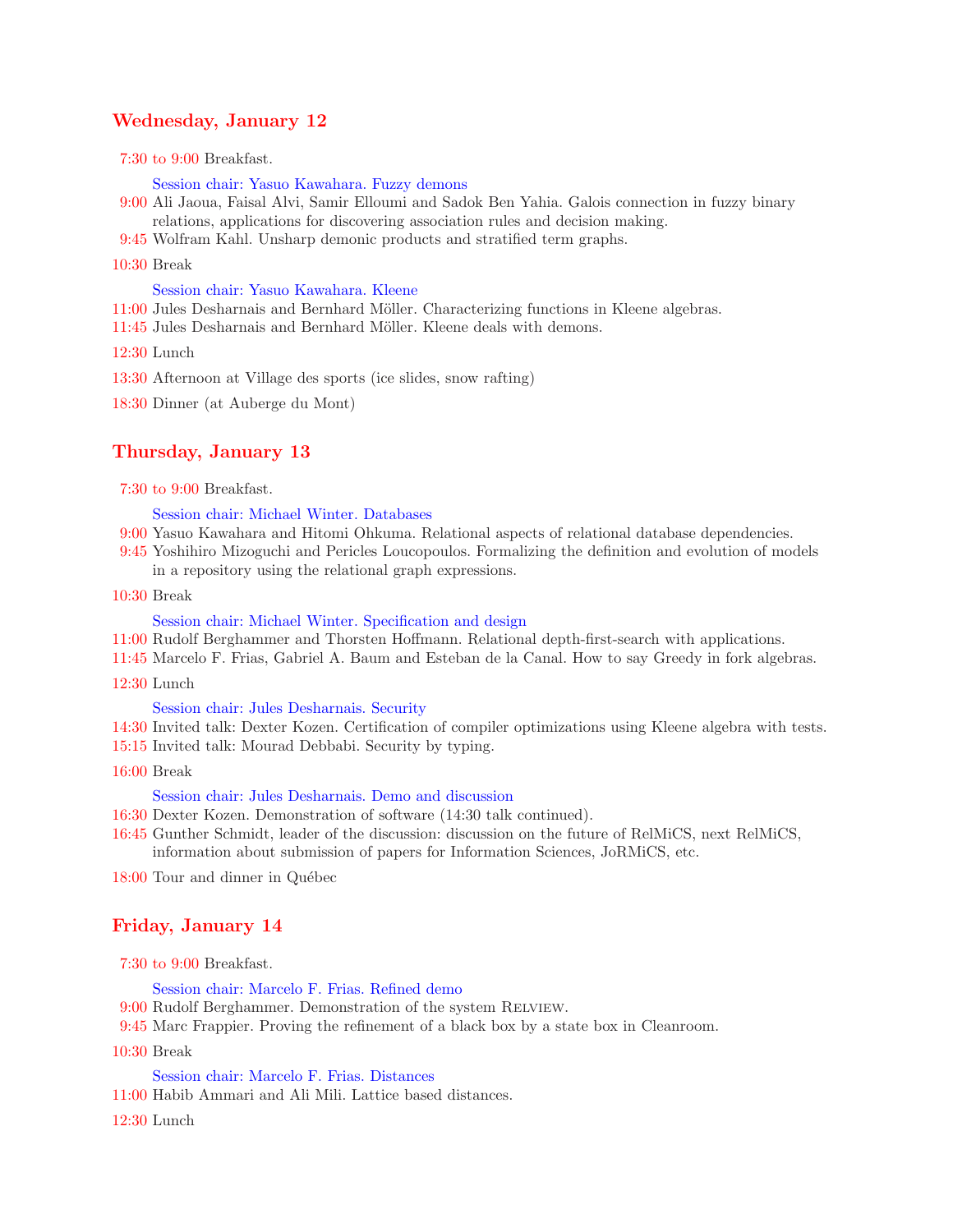### **Wednesday, January 12**

7:30 to 9:00 Breakfast.

Session chair: Yasuo Kawahara. Fuzzy demons

- 9:00 Ali Jaoua, Faisal Alvi, Samir Elloumi and Sadok Ben Yahia. Galois connection in fuzzy binary relations, applications for discovering association rules and decision making.
- 9:45 Wolfram Kahl. Unsharp demonic products and stratified term graphs.

10:30 Break

Session chair: Yasuo Kawahara. Kleene

11:00 Jules Desharnais and Bernhard Möller. Characterizing functions in Kleene algebras.

11:45 Jules Desharnais and Bernhard Möller. Kleene deals with demons.

12:30 Lunch

13:30 Afternoon at Village des sports (ice slides, snow rafting)

18:30 Dinner (at Auberge du Mont)

#### **Thursday, January 13**

7:30 to 9:00 Breakfast.

#### Session chair: Michael Winter. Databases

- 9:00 Yasuo Kawahara and Hitomi Ohkuma. Relational aspects of relational database dependencies.
- 9:45 Yoshihiro Mizoguchi and Pericles Loucopoulos. Formalizing the definition and evolution of models in a repository using the relational graph expressions.
- 10:30 Break

Session chair: Michael Winter. Specification and design

- 11:00 Rudolf Berghammer and Thorsten Hoffmann. Relational depth-first-search with applications.
- 11:45 Marcelo F. Frias, Gabriel A. Baum and Esteban de la Canal. How to say Greedy in fork algebras.
- 12:30 Lunch

#### Session chair: Jules Desharnais. Security

- 14:30 Invited talk: Dexter Kozen. Certification of compiler optimizations using Kleene algebra with tests.
- 15:15 Invited talk: Mourad Debbabi. Security by typing.
- 16:00 Break

#### Session chair: Jules Desharnais. Demo and discussion

- 16:30 Dexter Kozen. Demonstration of software (14:30 talk continued).
- 16:45 Gunther Schmidt, leader of the discussion: discussion on the future of RelMiCS, next RelMiCS, information about submission of papers for Information Sciences, JoRMiCS, etc.

18:00 Tour and dinner in Québec

#### **Friday, January 14**

7:30 to 9:00 Breakfast.

Session chair: Marcelo F. Frias. Refined demo

- 9:00 Rudolf Berghammer. Demonstration of the system RELVIEW.
- 9:45 Marc Frappier. Proving the refinement of a black box by a state box in Cleanroom.
- 10:30 Break

Session chair: Marcelo F. Frias. Distances

11:00 Habib Ammari and Ali Mili. Lattice based distances.

12:30 Lunch